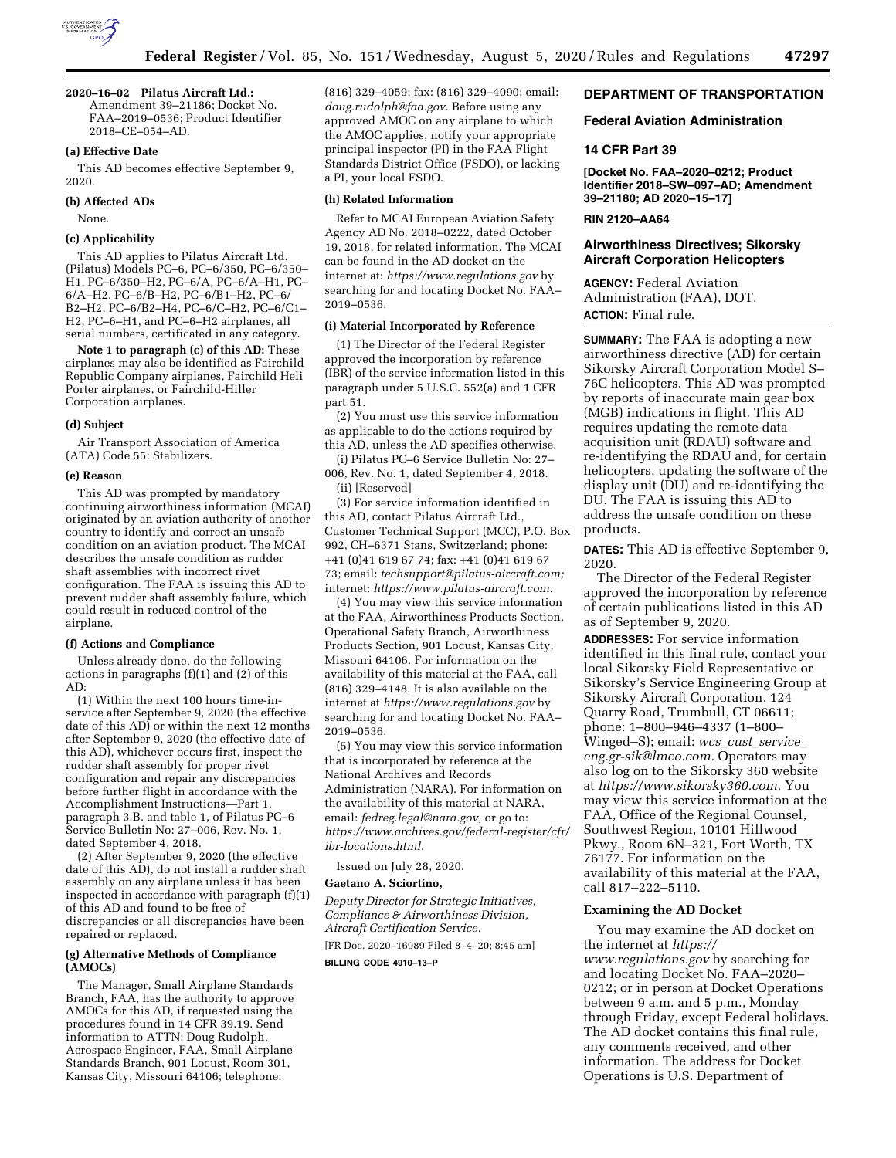

### **2020–16–02 Pilatus Aircraft Ltd.:**

Amendment 39–21186; Docket No. FAA–2019–0536; Product Identifier 2018–CE–054–AD.

# **(a) Effective Date**

This AD becomes effective September 9, 2020.

# **(b) Affected ADs**

None.

# **(c) Applicability**

This AD applies to Pilatus Aircraft Ltd. (Pilatus) Models PC–6, PC–6/350, PC–6/350– H1, PC–6/350–H2, PC–6/A, PC–6/A–H1, PC– 6/A–H2, PC–6/B–H2, PC–6/B1–H2, PC–6/ B2–H2, PC–6/B2–H4, PC–6/C–H2, PC–6/C1– H2, PC–6–H1, and PC–6–H2 airplanes, all serial numbers, certificated in any category.

**Note 1 to paragraph (c) of this AD:** These airplanes may also be identified as Fairchild Republic Company airplanes, Fairchild Heli Porter airplanes, or Fairchild-Hiller Corporation airplanes.

#### **(d) Subject**

Air Transport Association of America (ATA) Code 55: Stabilizers.

#### **(e) Reason**

This AD was prompted by mandatory continuing airworthiness information (MCAI) originated by an aviation authority of another country to identify and correct an unsafe condition on an aviation product. The MCAI describes the unsafe condition as rudder shaft assemblies with incorrect rivet configuration. The FAA is issuing this AD to prevent rudder shaft assembly failure, which could result in reduced control of the airplane.

### **(f) Actions and Compliance**

Unless already done, do the following actions in paragraphs (f)(1) and (2) of this AD:

(1) Within the next 100 hours time-inservice after September 9, 2020 (the effective date of this AD) or within the next 12 months after September 9, 2020 (the effective date of this AD), whichever occurs first, inspect the rudder shaft assembly for proper rivet configuration and repair any discrepancies before further flight in accordance with the Accomplishment Instructions—Part 1, paragraph 3.B. and table 1, of Pilatus PC–6 Service Bulletin No: 27–006, Rev. No. 1, dated September 4, 2018.

(2) After September 9, 2020 (the effective date of this AD), do not install a rudder shaft assembly on any airplane unless it has been inspected in accordance with paragraph (f)(1) of this AD and found to be free of discrepancies or all discrepancies have been repaired or replaced.

# **(g) Alternative Methods of Compliance (AMOCs)**

The Manager, Small Airplane Standards Branch, FAA, has the authority to approve AMOCs for this AD, if requested using the procedures found in 14 CFR 39.19. Send information to ATTN: Doug Rudolph, Aerospace Engineer, FAA, Small Airplane Standards Branch, 901 Locust, Room 301, Kansas City, Missouri 64106; telephone:

(816) 329–4059; fax: (816) 329–4090; email: *[doug.rudolph@faa.gov.](mailto:doug.rudolph@faa.gov)* Before using any approved AMOC on any airplane to which the AMOC applies, notify your appropriate principal inspector (PI) in the FAA Flight Standards District Office (FSDO), or lacking a PI, your local FSDO.

# **(h) Related Information**

Refer to MCAI European Aviation Safety Agency AD No. 2018–0222, dated October 19, 2018, for related information. The MCAI can be found in the AD docket on the internet at: *<https://www.regulations.gov>*by searching for and locating Docket No. FAA– 2019–0536.

### **(i) Material Incorporated by Reference**

(1) The Director of the Federal Register approved the incorporation by reference (IBR) of the service information listed in this paragraph under 5 U.S.C. 552(a) and 1 CFR part 51.

(2) You must use this service information as applicable to do the actions required by this AD, unless the AD specifies otherwise.

(i) Pilatus PC–6 Service Bulletin No: 27– 006, Rev. No. 1, dated September 4, 2018.

(ii) [Reserved]

(3) For service information identified in this AD, contact Pilatus Aircraft Ltd., Customer Technical Support (MCC), P.O. Box 992, CH–6371 Stans, Switzerland; phone: +41 (0)41 619 67 74; fax: +41 (0)41 619 67 73; email: *[techsupport@pilatus-aircraft.com;](mailto:techsupport@pilatus-aircraft.com)*  internet: *[https://www.pilatus-aircraft.com.](https://www.pilatus-aircraft.com)* 

(4) You may view this service information at the FAA, Airworthiness Products Section, Operational Safety Branch, Airworthiness Products Section, 901 Locust, Kansas City, Missouri 64106. For information on the availability of this material at the FAA, call (816) 329–4148. It is also available on the internet at *<https://www.regulations.gov>* by searching for and locating Docket No. FAA– 2019–0536.

(5) You may view this service information that is incorporated by reference at the National Archives and Records Administration (NARA). For information on the availability of this material at NARA, email: *[fedreg.legal@nara.gov,](mailto:fedreg.legal@nara.gov)* or go to: *[https://www.archives.gov/federal-register/cfr/](https://www.archives.gov/federal-register/cfr/ibr-locations.html) [ibr-locations.html.](https://www.archives.gov/federal-register/cfr/ibr-locations.html)* 

Issued on July 28, 2020.

# **Gaetano A. Sciortino,**

*Deputy Director for Strategic Initiatives, Compliance & Airworthiness Division, Aircraft Certification Service.* 

[FR Doc. 2020–16989 Filed 8–4–20; 8:45 am] **BILLING CODE 4910–13–P** 

# **DEPARTMENT OF TRANSPORTATION**

### **Federal Aviation Administration**

### **14 CFR Part 39**

**[Docket No. FAA–2020–0212; Product Identifier 2018–SW–097–AD; Amendment 39–21180; AD 2020–15–17]** 

# **RIN 2120–AA64**

# **Airworthiness Directives; Sikorsky Aircraft Corporation Helicopters**

**AGENCY:** Federal Aviation Administration (FAA), DOT. **ACTION:** Final rule.

**SUMMARY:** The FAA is adopting a new airworthiness directive (AD) for certain Sikorsky Aircraft Corporation Model S– 76C helicopters. This AD was prompted by reports of inaccurate main gear box (MGB) indications in flight. This AD requires updating the remote data acquisition unit (RDAU) software and re-identifying the RDAU and, for certain helicopters, updating the software of the display unit (DU) and re-identifying the DU. The FAA is issuing this AD to address the unsafe condition on these products.

**DATES:** This AD is effective September 9, 2020.

The Director of the Federal Register approved the incorporation by reference of certain publications listed in this AD as of September 9, 2020.

**ADDRESSES:** For service information identified in this final rule, contact your local Sikorsky Field Representative or Sikorsky's Service Engineering Group at Sikorsky Aircraft Corporation, 124 Quarry Road, Trumbull, CT 06611; phone: 1–800–946–4337 (1–800– Winged–S); email: *wcs*\_*cust*\_*[service](mailto:wcs_cust_service_eng.gr-sik@lmco.com)*\_ *[eng.gr-sik@lmco.com.](mailto:wcs_cust_service_eng.gr-sik@lmco.com)* Operators may also log on to the Sikorsky 360 website at *[https://www.sikorsky360.com.](https://www.sikorsky360.com)* You may view this service information at the FAA, Office of the Regional Counsel, Southwest Region, 10101 Hillwood Pkwy., Room 6N–321, Fort Worth, TX 76177. For information on the availability of this material at the FAA, call 817–222–5110.

### **Examining the AD Docket**

You may examine the AD docket on the internet at *[https://](https://www.regulations.gov) [www.regulations.gov](https://www.regulations.gov)* by searching for and locating Docket No. FAA–2020– 0212; or in person at Docket Operations between 9 a.m. and 5 p.m., Monday through Friday, except Federal holidays. The AD docket contains this final rule, any comments received, and other information. The address for Docket Operations is U.S. Department of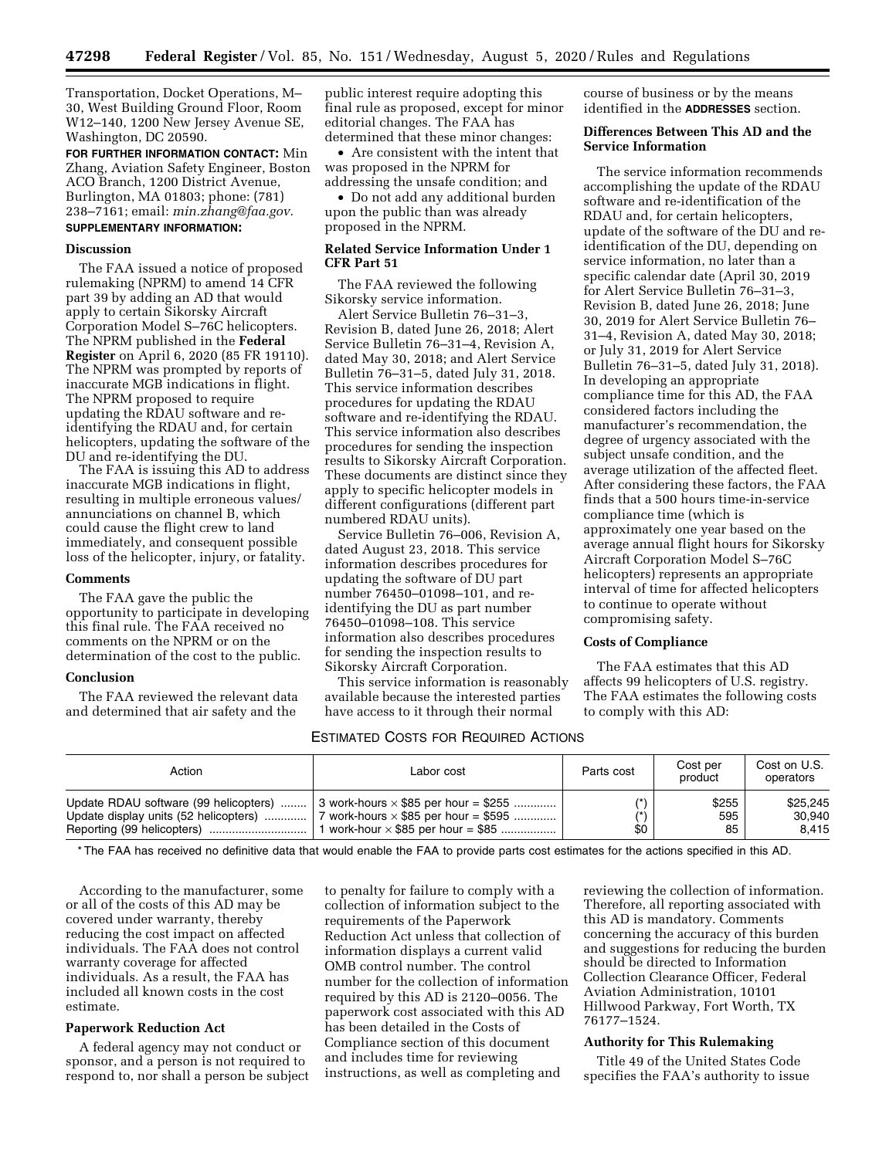Transportation, Docket Operations, M– 30, West Building Ground Floor, Room W12–140, 1200 New Jersey Avenue SE, Washington, DC 20590.

**FOR FURTHER INFORMATION CONTACT:** Min Zhang, Aviation Safety Engineer, Boston ACO Branch, 1200 District Avenue, Burlington, MA 01803; phone: (781) 238–7161; email: *[min.zhang@faa.gov.](mailto:min.zhang@faa.gov)* 

# **SUPPLEMENTARY INFORMATION:**

### **Discussion**

The FAA issued a notice of proposed rulemaking (NPRM) to amend 14 CFR part 39 by adding an AD that would apply to certain Sikorsky Aircraft Corporation Model S–76C helicopters. The NPRM published in the **Federal Register** on April 6, 2020 (85 FR 19110). The NPRM was prompted by reports of inaccurate MGB indications in flight. The NPRM proposed to require updating the RDAU software and reidentifying the RDAU and, for certain helicopters, updating the software of the DU and re-identifying the DU.

The FAA is issuing this AD to address inaccurate MGB indications in flight, resulting in multiple erroneous values/ annunciations on channel B, which could cause the flight crew to land immediately, and consequent possible loss of the helicopter, injury, or fatality.

# **Comments**

The FAA gave the public the opportunity to participate in developing this final rule. The FAA received no comments on the NPRM or on the determination of the cost to the public.

#### **Conclusion**

The FAA reviewed the relevant data and determined that air safety and the

public interest require adopting this final rule as proposed, except for minor editorial changes. The FAA has determined that these minor changes:

• Are consistent with the intent that was proposed in the NPRM for addressing the unsafe condition; and

• Do not add any additional burden upon the public than was already proposed in the NPRM.

# **Related Service Information Under 1 CFR Part 51**

The FAA reviewed the following Sikorsky service information.

Alert Service Bulletin 76–31–3, Revision B, dated June 26, 2018; Alert Service Bulletin 76–31–4, Revision A, dated May 30, 2018; and Alert Service Bulletin 76–31–5, dated July 31, 2018. This service information describes procedures for updating the RDAU software and re-identifying the RDAU. This service information also describes procedures for sending the inspection results to Sikorsky Aircraft Corporation. These documents are distinct since they apply to specific helicopter models in different configurations (different part numbered RDAU units).

Service Bulletin 76–006, Revision A, dated August 23, 2018. This service information describes procedures for updating the software of DU part number 76450–01098–101, and reidentifying the DU as part number 76450–01098–108. This service information also describes procedures for sending the inspection results to Sikorsky Aircraft Corporation.

This service information is reasonably available because the interested parties have access to it through their normal

course of business or by the means identified in the **ADDRESSES** section.

# **Differences Between This AD and the Service Information**

The service information recommends accomplishing the update of the RDAU software and re-identification of the RDAU and, for certain helicopters, update of the software of the DU and reidentification of the DU, depending on service information, no later than a specific calendar date (April 30, 2019 for Alert Service Bulletin 76–31–3, Revision B, dated June 26, 2018; June 30, 2019 for Alert Service Bulletin 76– 31–4, Revision A, dated May 30, 2018; or July 31, 2019 for Alert Service Bulletin 76–31–5, dated July 31, 2018). In developing an appropriate compliance time for this AD, the FAA considered factors including the manufacturer's recommendation, the degree of urgency associated with the subject unsafe condition, and the average utilization of the affected fleet. After considering these factors, the FAA finds that a 500 hours time-in-service compliance time (which is approximately one year based on the average annual flight hours for Sikorsky Aircraft Corporation Model S–76C helicopters) represents an appropriate interval of time for affected helicopters to continue to operate without compromising safety.

# **Costs of Compliance**

The FAA estimates that this AD affects 99 helicopters of U.S. registry. The FAA estimates the following costs to comply with this AD:

### ESTIMATED COSTS FOR REQUIRED ACTIONS

| Action                                | Labor cost                                  | Parts cost | Cost per<br>product | Cost on U.S.<br>operators |
|---------------------------------------|---------------------------------------------|------------|---------------------|---------------------------|
| Update RDAU software (99 helicopters) | 3 work-hours $\times$ \$85 per hour = \$255 | \$0        | \$255               | \$25.245                  |
| Update display units (52 helicopters) | 7 work-hours $\times$ \$85 per hour = \$595 |            | 595                 | 30.940                    |
|                                       | 1 work-hour $\times$ \$85 per hour = \$85   |            | 85                  | 8.415                     |

\* The FAA has received no definitive data that would enable the FAA to provide parts cost estimates for the actions specified in this AD.

According to the manufacturer, some or all of the costs of this AD may be covered under warranty, thereby reducing the cost impact on affected individuals. The FAA does not control warranty coverage for affected individuals. As a result, the FAA has included all known costs in the cost estimate.

# **Paperwork Reduction Act**

A federal agency may not conduct or sponsor, and a person is not required to respond to, nor shall a person be subject

to penalty for failure to comply with a collection of information subject to the requirements of the Paperwork Reduction Act unless that collection of information displays a current valid OMB control number. The control number for the collection of information required by this AD is 2120–0056. The paperwork cost associated with this AD has been detailed in the Costs of Compliance section of this document and includes time for reviewing instructions, as well as completing and

reviewing the collection of information. Therefore, all reporting associated with this AD is mandatory. Comments concerning the accuracy of this burden and suggestions for reducing the burden should be directed to Information Collection Clearance Officer, Federal Aviation Administration, 10101 Hillwood Parkway, Fort Worth, TX 76177–1524.

# **Authority for This Rulemaking**

Title 49 of the United States Code specifies the FAA's authority to issue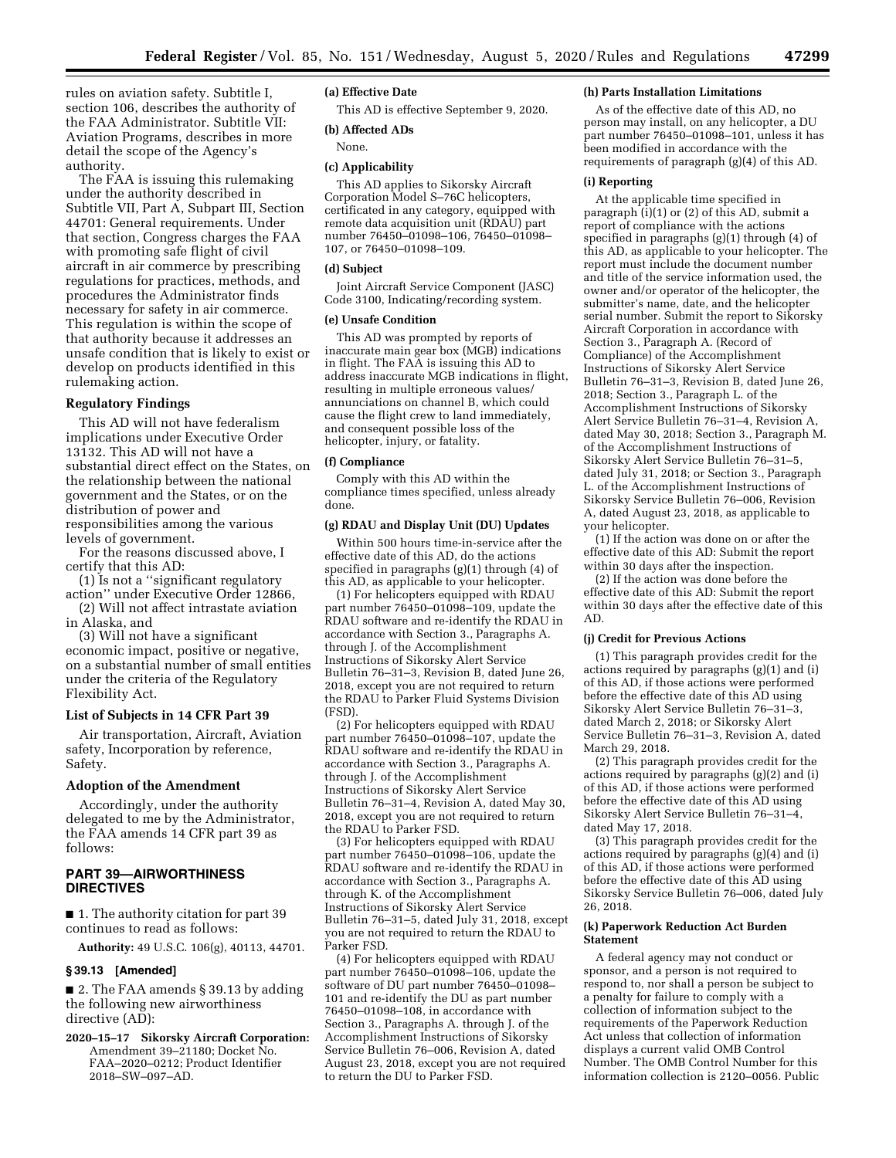rules on aviation safety. Subtitle I, section 106, describes the authority of the FAA Administrator. Subtitle VII: Aviation Programs, describes in more detail the scope of the Agency's authority.

The FAA is issuing this rulemaking under the authority described in Subtitle VII, Part A, Subpart III, Section 44701: General requirements. Under that section, Congress charges the FAA with promoting safe flight of civil aircraft in air commerce by prescribing regulations for practices, methods, and procedures the Administrator finds necessary for safety in air commerce. This regulation is within the scope of that authority because it addresses an unsafe condition that is likely to exist or develop on products identified in this rulemaking action.

#### **Regulatory Findings**

This AD will not have federalism implications under Executive Order 13132. This AD will not have a substantial direct effect on the States, on the relationship between the national government and the States, or on the distribution of power and responsibilities among the various levels of government.

For the reasons discussed above, I certify that this AD:

(1) Is not a ''significant regulatory action'' under Executive Order 12866,

(2) Will not affect intrastate aviation in Alaska, and

(3) Will not have a significant economic impact, positive or negative, on a substantial number of small entities under the criteria of the Regulatory Flexibility Act.

### **List of Subjects in 14 CFR Part 39**

Air transportation, Aircraft, Aviation safety, Incorporation by reference, Safety.

### **Adoption of the Amendment**

Accordingly, under the authority delegated to me by the Administrator, the FAA amends 14 CFR part 39 as follows:

## **PART 39—AIRWORTHINESS DIRECTIVES**

■ 1. The authority citation for part 39 continues to read as follows:

**Authority:** 49 U.S.C. 106(g), 40113, 44701.

#### **§ 39.13 [Amended]**

■ 2. The FAA amends § 39.13 by adding the following new airworthiness directive (AD):

**2020–15–17 Sikorsky Aircraft Corporation:**  Amendment 39-21180; Docket No. FAA–2020–0212; Product Identifier 2018–SW–097–AD.

## **(a) Effective Date**

This AD is effective September 9, 2020.

#### **(b) Affected ADs**

None.

# **(c) Applicability**

This AD applies to Sikorsky Aircraft Corporation Model S–76C helicopters, certificated in any category, equipped with remote data acquisition unit (RDAU) part number 76450–01098–106, 76450–01098– 107, or 76450–01098–109.

### **(d) Subject**

Joint Aircraft Service Component (JASC) Code 3100, Indicating/recording system.

# **(e) Unsafe Condition**

This AD was prompted by reports of inaccurate main gear box (MGB) indications in flight. The FAA is issuing this AD to address inaccurate MGB indications in flight, resulting in multiple erroneous values/ annunciations on channel B, which could cause the flight crew to land immediately, and consequent possible loss of the helicopter, injury, or fatality.

### **(f) Compliance**

Comply with this AD within the compliance times specified, unless already done.

### **(g) RDAU and Display Unit (DU) Updates**

Within 500 hours time-in-service after the effective date of this AD, do the actions specified in paragraphs (g)(1) through (4) of this AD, as applicable to your helicopter.

(1) For helicopters equipped with RDAU part number 76450–01098–109, update the RDAU software and re-identify the RDAU in accordance with Section 3., Paragraphs A. through J. of the Accomplishment Instructions of Sikorsky Alert Service Bulletin 76–31–3, Revision B, dated June 26, 2018, except you are not required to return the RDAU to Parker Fluid Systems Division (FSD).

(2) For helicopters equipped with RDAU part number 76450–01098–107, update the RDAU software and re-identify the RDAU in accordance with Section 3., Paragraphs A. through J. of the Accomplishment Instructions of Sikorsky Alert Service Bulletin 76–31–4, Revision A, dated May 30, 2018, except you are not required to return the RDAU to Parker FSD.

(3) For helicopters equipped with RDAU part number 76450–01098–106, update the RDAU software and re-identify the RDAU in accordance with Section 3., Paragraphs A. through K. of the Accomplishment Instructions of Sikorsky Alert Service Bulletin 76–31–5, dated July 31, 2018, except you are not required to return the RDAU to Parker FSD.

(4) For helicopters equipped with RDAU part number 76450–01098–106, update the software of DU part number 76450–01098– 101 and re-identify the DU as part number 76450–01098–108, in accordance with Section 3., Paragraphs A. through J. of the Accomplishment Instructions of Sikorsky Service Bulletin 76–006, Revision A, dated August 23, 2018, except you are not required to return the DU to Parker FSD.

# **(h) Parts Installation Limitations**

As of the effective date of this AD, no person may install, on any helicopter, a DU part number 76450–01098–101, unless it has been modified in accordance with the requirements of paragraph (g)(4) of this AD.

#### **(i) Reporting**

At the applicable time specified in paragraph  $(i)(1)$  or  $(2)$  of this AD, submit a report of compliance with the actions specified in paragraphs (g)(1) through (4) of this AD, as applicable to your helicopter. The report must include the document number and title of the service information used, the owner and/or operator of the helicopter, the submitter's name, date, and the helicopter serial number. Submit the report to Sikorsky Aircraft Corporation in accordance with Section 3., Paragraph A. (Record of Compliance) of the Accomplishment Instructions of Sikorsky Alert Service Bulletin 76–31–3, Revision B, dated June 26, 2018; Section 3., Paragraph L. of the Accomplishment Instructions of Sikorsky Alert Service Bulletin 76–31–4, Revision A, dated May 30, 2018; Section 3., Paragraph M. of the Accomplishment Instructions of Sikorsky Alert Service Bulletin 76–31–5, dated July 31, 2018; or Section 3., Paragraph L. of the Accomplishment Instructions of Sikorsky Service Bulletin 76–006, Revision A, dated August 23, 2018, as applicable to your helicopter.

(1) If the action was done on or after the effective date of this AD: Submit the report within 30 days after the inspection.

(2) If the action was done before the effective date of this AD: Submit the report within 30 days after the effective date of this AD.

#### **(j) Credit for Previous Actions**

(1) This paragraph provides credit for the actions required by paragraphs (g)(1) and (i) of this AD, if those actions were performed before the effective date of this AD using Sikorsky Alert Service Bulletin 76–31–3, dated March 2, 2018; or Sikorsky Alert Service Bulletin 76–31–3, Revision A, dated March 29, 2018.

(2) This paragraph provides credit for the actions required by paragraphs (g)(2) and (i) of this AD, if those actions were performed before the effective date of this AD using Sikorsky Alert Service Bulletin 76–31–4, dated May 17, 2018.

(3) This paragraph provides credit for the actions required by paragraphs (g)(4) and (i) of this AD, if those actions were performed before the effective date of this AD using Sikorsky Service Bulletin 76–006, dated July 26, 2018.

#### **(k) Paperwork Reduction Act Burden Statement**

A federal agency may not conduct or sponsor, and a person is not required to respond to, nor shall a person be subject to a penalty for failure to comply with a collection of information subject to the requirements of the Paperwork Reduction Act unless that collection of information displays a current valid OMB Control Number. The OMB Control Number for this information collection is 2120–0056. Public